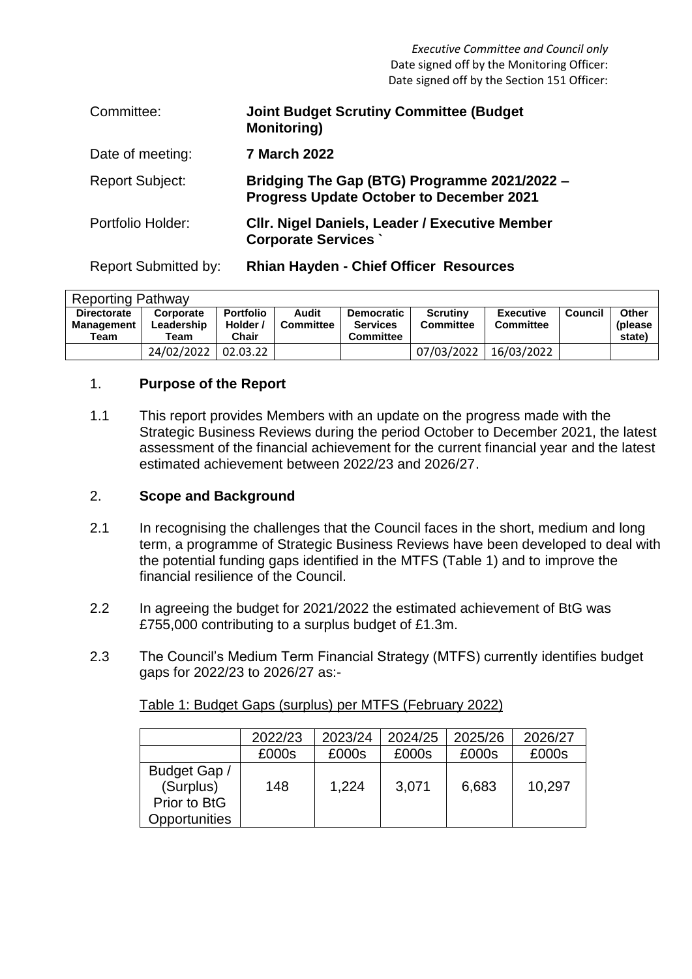*Executive Committee and Council only* Date signed off by the Monitoring Officer: Date signed off by the Section 151 Officer:

| Committee:             | <b>Joint Budget Scrutiny Committee (Budget</b><br><b>Monitoring</b> )                    |
|------------------------|------------------------------------------------------------------------------------------|
| Date of meeting:       | <b>7 March 2022</b>                                                                      |
| <b>Report Subject:</b> | Bridging The Gap (BTG) Programme 2021/2022 -<br>Progress Update October to December 2021 |
| Portfolio Holder:      | CIIr. Nigel Daniels, Leader / Executive Member<br><b>Corporate Services</b>              |

Report Submitted by: **Rhian Hayden - Chief Officer Resources**

| <b>Reporting Pathway</b> |            |                  |                  |                   |                  |                  |         |         |
|--------------------------|------------|------------------|------------------|-------------------|------------------|------------------|---------|---------|
| <b>Directorate</b>       | Corporate  | <b>Portfolio</b> | Audit            | <b>Democratic</b> | <b>Scrutiny</b>  | <b>Executive</b> | Council | Other   |
| <b>Management</b>        | Leadership | Holder /         | <b>Committee</b> | <b>Services</b>   | <b>Committee</b> | <b>Committee</b> |         | (please |
| Team                     | Team       | Chair            |                  | <b>Committee</b>  |                  |                  |         | state)  |
|                          | 24/02/2022 | 02.03.22         |                  |                   | 07/03/2022       | 16/03/2022       |         |         |

#### 1. **Purpose of the Report**

1.1 This report provides Members with an update on the progress made with the Strategic Business Reviews during the period October to December 2021, the latest assessment of the financial achievement for the current financial year and the latest estimated achievement between 2022/23 and 2026/27.

#### 2. **Scope and Background**

- 2.1 In recognising the challenges that the Council faces in the short, medium and long term, a programme of Strategic Business Reviews have been developed to deal with the potential funding gaps identified in the MTFS (Table 1) and to improve the financial resilience of the Council.
- 2.2 In agreeing the budget for 2021/2022 the estimated achievement of BtG was £755,000 contributing to a surplus budget of £1.3m.
- 2.3 The Council's Medium Term Financial Strategy (MTFS) currently identifies budget gaps for 2022/23 to 2026/27 as:-

| Table 1: Budget Gaps (surplus) per MTFS (February 2022) |  |  |  |
|---------------------------------------------------------|--|--|--|
|                                                         |  |  |  |

|                      | 2022/23 | 2023/24 | 2024/25 | 2025/26 | 2026/27 |
|----------------------|---------|---------|---------|---------|---------|
|                      | £000s   | £000s   | £000s   | £000s   | £000s   |
| Budget Gap /         |         |         |         |         |         |
| (Surplus)            | 148     | 1,224   | 3,071   | 6,683   | 10,297  |
| Prior to BtG         |         |         |         |         |         |
| <b>Opportunities</b> |         |         |         |         |         |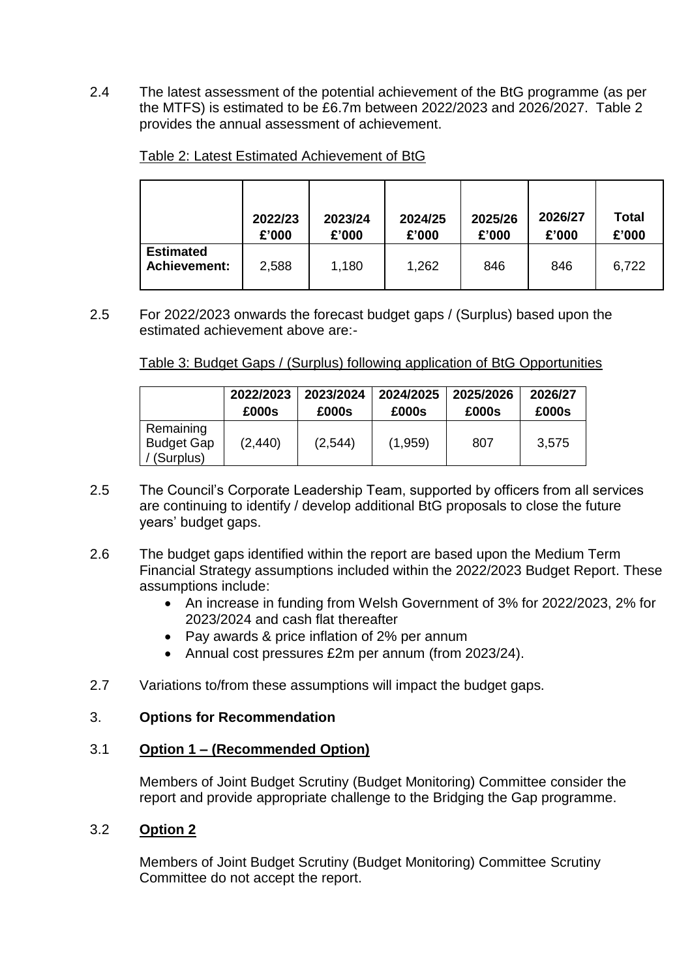2.4 The latest assessment of the potential achievement of the BtG programme (as per the MTFS) is estimated to be £6.7m between 2022/2023 and 2026/2027. Table 2 provides the annual assessment of achievement.

|                                         | 2022/23 | 2023/24 | 2024/25 | 2025/26 | 2026/27 | <b>Total</b> |
|-----------------------------------------|---------|---------|---------|---------|---------|--------------|
|                                         | £'000   | £'000   | £'000   | £'000   | £'000   | £'000        |
| <b>Estimated</b><br><b>Achievement:</b> | 2,588   | 1,180   | 1,262   | 846     | 846     | 6,722        |

## Table 2: Latest Estimated Achievement of BtG

2.5 For 2022/2023 onwards the forecast budget gaps / (Surplus) based upon the estimated achievement above are:-

|  |  |  | Table 3: Budget Gaps / (Surplus) following application of BtG Opportunities |
|--|--|--|-----------------------------------------------------------------------------|
|  |  |  |                                                                             |

|                                             | 2022/2023 | 2023/2024 | 2024/2025 | 2025/2026 | 2026/27 |
|---------------------------------------------|-----------|-----------|-----------|-----------|---------|
|                                             | £000s     | £000s     | £000s     | £000s     | £000s   |
| Remaining<br><b>Budget Gap</b><br>(Surplus) | (2, 440)  | (2, 544)  | (1,959)   | 807       | 3,575   |

- 2.5 The Council's Corporate Leadership Team, supported by officers from all services are continuing to identify / develop additional BtG proposals to close the future years' budget gaps.
- 2.6 The budget gaps identified within the report are based upon the Medium Term Financial Strategy assumptions included within the 2022/2023 Budget Report. These assumptions include:
	- An increase in funding from Welsh Government of 3% for 2022/2023, 2% for 2023/2024 and cash flat thereafter
	- Pay awards & price inflation of 2% per annum
	- Annual cost pressures £2m per annum (from 2023/24).
- 2.7 Variations to/from these assumptions will impact the budget gaps.

## 3. **Options for Recommendation**

## 3.1 **Option 1 – (Recommended Option)**

Members of Joint Budget Scrutiny (Budget Monitoring) Committee consider the report and provide appropriate challenge to the Bridging the Gap programme.

## 3.2 **Option 2**

Members of Joint Budget Scrutiny (Budget Monitoring) Committee Scrutiny Committee do not accept the report.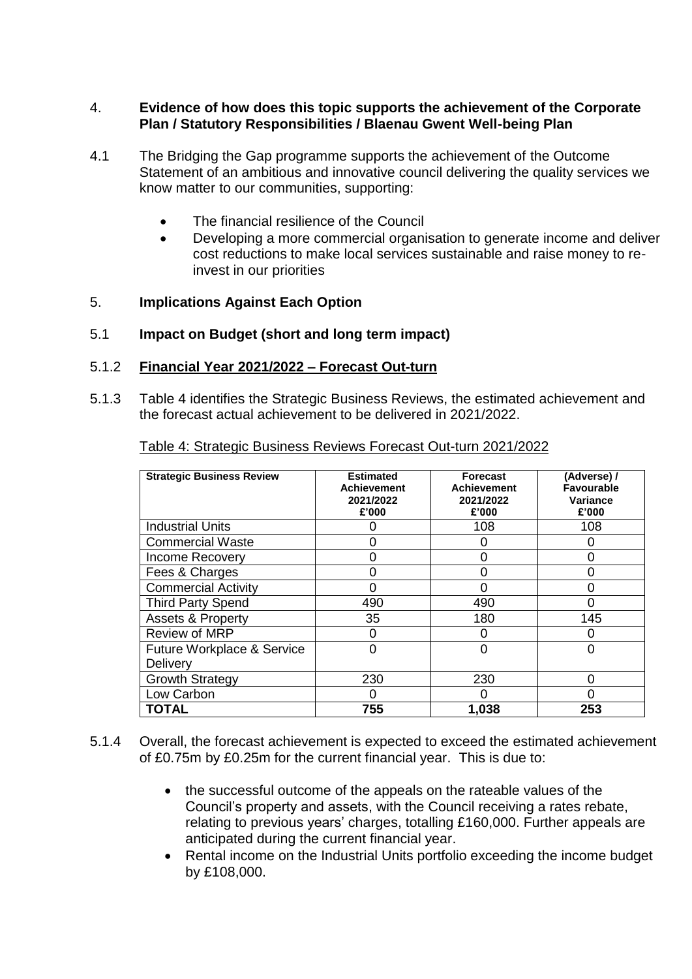### 4. **Evidence of how does this topic supports the achievement of the Corporate Plan / Statutory Responsibilities / Blaenau Gwent Well-being Plan**

- 4.1 The Bridging the Gap programme supports the achievement of the Outcome Statement of an ambitious and innovative council delivering the quality services we know matter to our communities, supporting:
	- The financial resilience of the Council
	- Developing a more commercial organisation to generate income and deliver cost reductions to make local services sustainable and raise money to reinvest in our priorities

## 5. **Implications Against Each Option**

### 5.1 **Impact on Budget (short and long term impact)**

### 5.1.2 **Financial Year 2021/2022 – Forecast Out-turn**

5.1.3 Table 4 identifies the Strategic Business Reviews, the estimated achievement and the forecast actual achievement to be delivered in 2021/2022.

| <b>Strategic Business Review</b> | <b>Estimated</b><br><b>Achievement</b><br>2021/2022<br>£'000 | <b>Forecast</b><br><b>Achievement</b><br>2021/2022<br>£'000 | (Adverse) /<br><b>Favourable</b><br>Variance<br>£'000 |
|----------------------------------|--------------------------------------------------------------|-------------------------------------------------------------|-------------------------------------------------------|
| <b>Industrial Units</b>          | 0                                                            | 108                                                         | 108                                                   |
| <b>Commercial Waste</b>          | 0                                                            | 0                                                           | 0                                                     |
| Income Recovery                  | 0                                                            |                                                             | ი                                                     |
| Fees & Charges                   | ი                                                            |                                                             | 0                                                     |
| <b>Commercial Activity</b>       | 0                                                            |                                                             | 0                                                     |
| <b>Third Party Spend</b>         | 490                                                          | 490                                                         | 0                                                     |
| <b>Assets &amp; Property</b>     | 35                                                           | 180                                                         | 145                                                   |
| Review of MRP                    | 0                                                            | 0                                                           | 0                                                     |
| Future Workplace & Service       | $\Omega$                                                     | ∩                                                           | 0                                                     |
| Delivery                         |                                                              |                                                             |                                                       |
| <b>Growth Strategy</b>           | 230                                                          | 230                                                         | 0                                                     |
| Low Carbon                       | 0                                                            |                                                             | ი                                                     |
| <b>TOTAL</b>                     | 755                                                          | 1,038                                                       | 253                                                   |

Table 4: Strategic Business Reviews Forecast Out-turn 2021/2022

- 5.1.4 Overall, the forecast achievement is expected to exceed the estimated achievement of £0.75m by £0.25m for the current financial year. This is due to:
	- the successful outcome of the appeals on the rateable values of the Council's property and assets, with the Council receiving a rates rebate, relating to previous years' charges, totalling £160,000. Further appeals are anticipated during the current financial year.
	- Rental income on the Industrial Units portfolio exceeding the income budget by £108,000.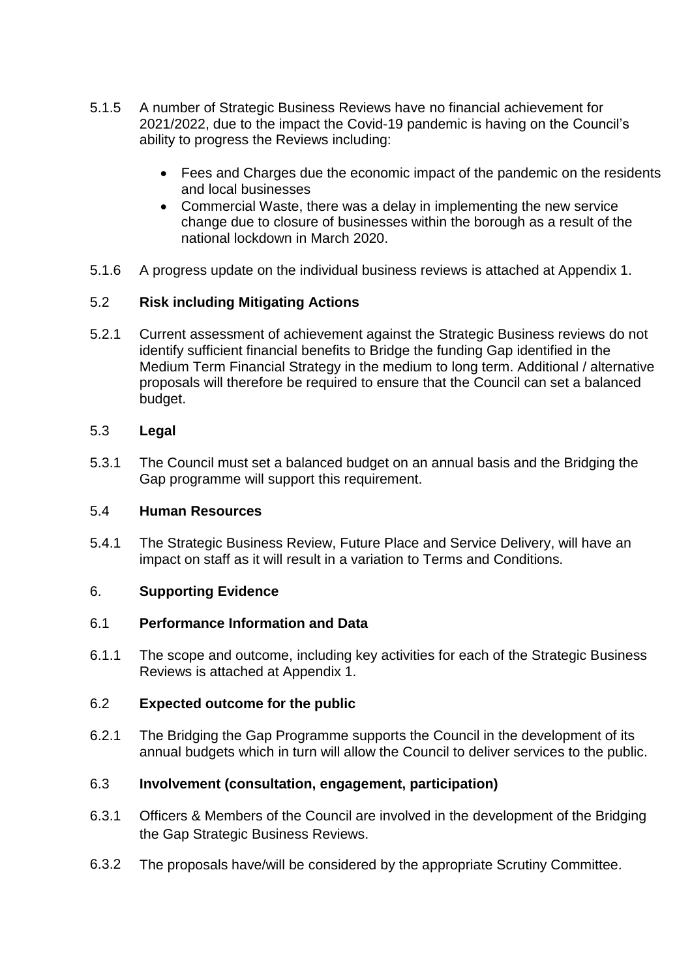- 5.1.5 A number of Strategic Business Reviews have no financial achievement for 2021/2022, due to the impact the Covid-19 pandemic is having on the Council's ability to progress the Reviews including:
	- Fees and Charges due the economic impact of the pandemic on the residents and local businesses
	- Commercial Waste, there was a delay in implementing the new service change due to closure of businesses within the borough as a result of the national lockdown in March 2020.
- 5.1.6 A progress update on the individual business reviews is attached at Appendix 1.

## 5.2 **Risk including Mitigating Actions**

5.2.1 Current assessment of achievement against the Strategic Business reviews do not identify sufficient financial benefits to Bridge the funding Gap identified in the Medium Term Financial Strategy in the medium to long term. Additional / alternative proposals will therefore be required to ensure that the Council can set a balanced budget.

### 5.3 **Legal**

5.3.1 The Council must set a balanced budget on an annual basis and the Bridging the Gap programme will support this requirement.

### 5.4 **Human Resources**

5.4.1 The Strategic Business Review, Future Place and Service Delivery, will have an impact on staff as it will result in a variation to Terms and Conditions.

### 6. **Supporting Evidence**

#### 6.1 **Performance Information and Data**

6.1.1 The scope and outcome, including key activities for each of the Strategic Business Reviews is attached at Appendix 1.

### 6.2 **Expected outcome for the public**

6.2.1 The Bridging the Gap Programme supports the Council in the development of its annual budgets which in turn will allow the Council to deliver services to the public.

### 6.3 **Involvement (consultation, engagement, participation)**

- 6.3.1 Officers & Members of the Council are involved in the development of the Bridging the Gap Strategic Business Reviews.
- 6.3.2 The proposals have/will be considered by the appropriate Scrutiny Committee.